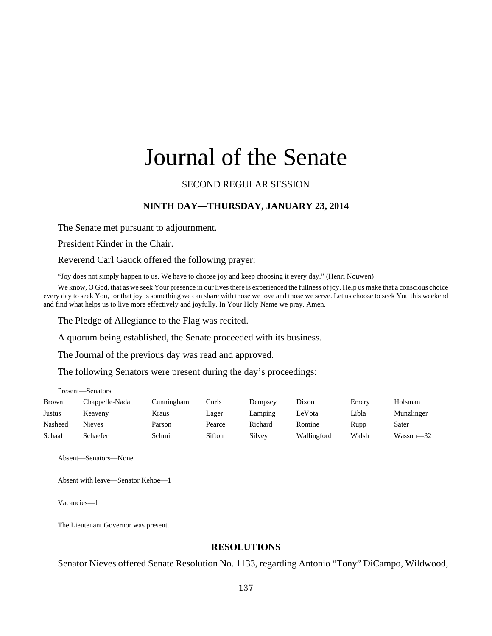# Journal of the Senate

#### SECOND REGULAR SESSION

## **NINTH DAY—THURSDAY, JANUARY 23, 2014**

The Senate met pursuant to adjournment.

President Kinder in the Chair.

Reverend Carl Gauck offered the following prayer:

"Joy does not simply happen to us. We have to choose joy and keep choosing it every day." (Henri Nouwen)

We know, O God, that as we seek Your presence in our lives there is experienced the fullness of joy. Help us make that a conscious choice every day to seek You, for that joy is something we can share with those we love and those we serve. Let us choose to seek You this weekend and find what helps us to live more effectively and joyfully. In Your Holy Name we pray. Amen.

The Pledge of Allegiance to the Flag was recited.

A quorum being established, the Senate proceeded with its business.

The Journal of the previous day was read and approved.

The following Senators were present during the day's proceedings:

Present—Senators

| <b>Brown</b> | Chappelle-Nadal | Cunningham | Curls  | Dempsey | Dixon       | Emery | Holsman    |
|--------------|-----------------|------------|--------|---------|-------------|-------|------------|
| Justus       | Keaveny         | Kraus      | Lager  | Lamping | LeVota      | Libla | Munzlinger |
| Nasheed      | <b>Nieves</b>   | Parson     | Pearce | Richard | Romine      | Rupp  | Sater      |
| Schaaf       | Schaefer        | Schmitt    | Sifton | Silvey  | Wallingford | Walsh | Wasson—32  |

Absent—Senators—None

Absent with leave—Senator Kehoe—1

Vacancies—1

The Lieutenant Governor was present.

#### **RESOLUTIONS**

Senator Nieves offered Senate Resolution No. 1133, regarding Antonio "Tony" DiCampo, Wildwood,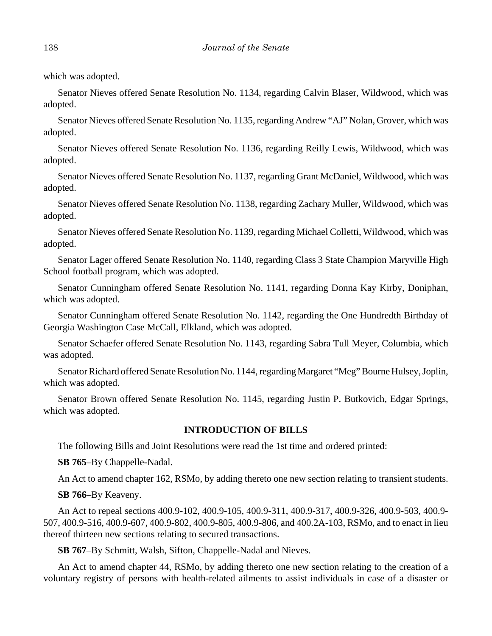which was adopted.

Senator Nieves offered Senate Resolution No. 1134, regarding Calvin Blaser, Wildwood, which was adopted.

Senator Nieves offered Senate Resolution No. 1135, regarding Andrew "AJ" Nolan, Grover, which was adopted.

Senator Nieves offered Senate Resolution No. 1136, regarding Reilly Lewis, Wildwood, which was adopted.

Senator Nieves offered Senate Resolution No. 1137, regarding Grant McDaniel, Wildwood, which was adopted.

Senator Nieves offered Senate Resolution No. 1138, regarding Zachary Muller, Wildwood, which was adopted.

Senator Nieves offered Senate Resolution No. 1139, regarding Michael Colletti, Wildwood, which was adopted.

Senator Lager offered Senate Resolution No. 1140, regarding Class 3 State Champion Maryville High School football program, which was adopted.

Senator Cunningham offered Senate Resolution No. 1141, regarding Donna Kay Kirby, Doniphan, which was adopted.

Senator Cunningham offered Senate Resolution No. 1142, regarding the One Hundredth Birthday of Georgia Washington Case McCall, Elkland, which was adopted.

Senator Schaefer offered Senate Resolution No. 1143, regarding Sabra Tull Meyer, Columbia, which was adopted.

Senator Richard offered Senate Resolution No. 1144, regarding Margaret "Meg" Bourne Hulsey, Joplin, which was adopted.

Senator Brown offered Senate Resolution No. 1145, regarding Justin P. Butkovich, Edgar Springs, which was adopted.

## **INTRODUCTION OF BILLS**

The following Bills and Joint Resolutions were read the 1st time and ordered printed:

**SB 765**–By Chappelle-Nadal.

An Act to amend chapter 162, RSMo, by adding thereto one new section relating to transient students.

**SB 766**–By Keaveny.

An Act to repeal sections 400.9-102, 400.9-105, 400.9-311, 400.9-317, 400.9-326, 400.9-503, 400.9- 507, 400.9-516, 400.9-607, 400.9-802, 400.9-805, 400.9-806, and 400.2A-103, RSMo, and to enact in lieu thereof thirteen new sections relating to secured transactions.

**SB 767**–By Schmitt, Walsh, Sifton, Chappelle-Nadal and Nieves.

An Act to amend chapter 44, RSMo, by adding thereto one new section relating to the creation of a voluntary registry of persons with health-related ailments to assist individuals in case of a disaster or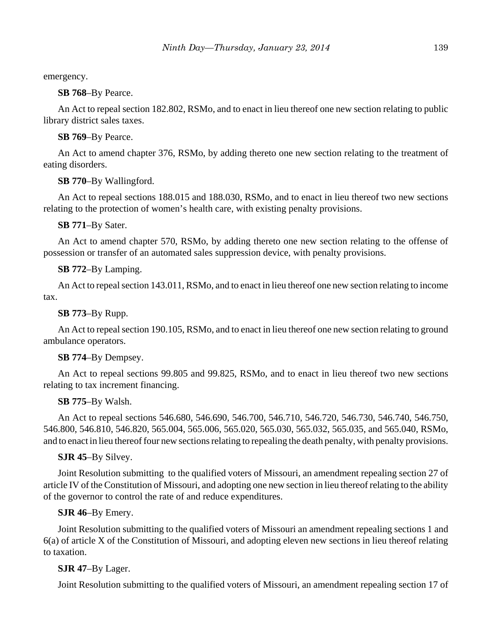emergency.

**SB 768**–By Pearce.

An Act to repeal section 182.802, RSMo, and to enact in lieu thereof one new section relating to public library district sales taxes.

**SB 769**–By Pearce.

An Act to amend chapter 376, RSMo, by adding thereto one new section relating to the treatment of eating disorders.

**SB 770**–By Wallingford.

An Act to repeal sections 188.015 and 188.030, RSMo, and to enact in lieu thereof two new sections relating to the protection of women's health care, with existing penalty provisions.

**SB 771**–By Sater.

An Act to amend chapter 570, RSMo, by adding thereto one new section relating to the offense of possession or transfer of an automated sales suppression device, with penalty provisions.

## **SB 772**–By Lamping.

An Act to repeal section 143.011, RSMo, and to enact in lieu thereof one new section relating to income tax.

**SB 773**–By Rupp.

An Act to repeal section 190.105, RSMo, and to enact in lieu thereof one new section relating to ground ambulance operators.

## **SB 774**–By Dempsey.

An Act to repeal sections 99.805 and 99.825, RSMo, and to enact in lieu thereof two new sections relating to tax increment financing.

# **SB 775**–By Walsh.

An Act to repeal sections 546.680, 546.690, 546.700, 546.710, 546.720, 546.730, 546.740, 546.750, 546.800, 546.810, 546.820, 565.004, 565.006, 565.020, 565.030, 565.032, 565.035, and 565.040, RSMo, and to enact in lieu thereof four new sections relating to repealing the death penalty, with penalty provisions.

## **SJR 45**–By Silvey.

Joint Resolution submitting to the qualified voters of Missouri, an amendment repealing section 27 of article IV of the Constitution of Missouri, and adopting one new section in lieu thereof relating to the ability of the governor to control the rate of and reduce expenditures.

# **SJR 46**–By Emery.

Joint Resolution submitting to the qualified voters of Missouri an amendment repealing sections 1 and 6(a) of article X of the Constitution of Missouri, and adopting eleven new sections in lieu thereof relating to taxation.

# **SJR 47**–By Lager.

Joint Resolution submitting to the qualified voters of Missouri, an amendment repealing section 17 of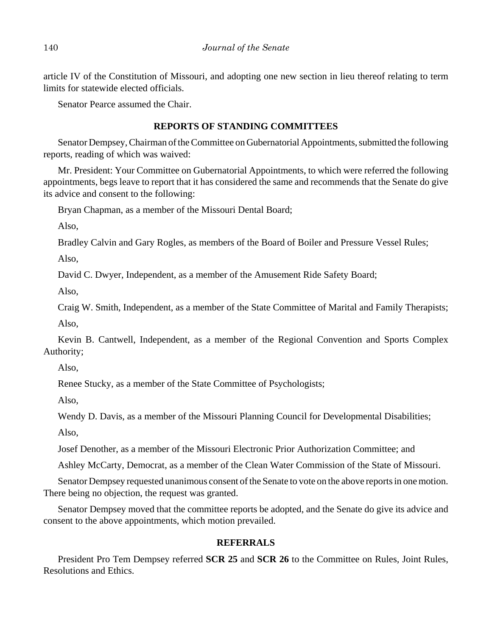article IV of the Constitution of Missouri, and adopting one new section in lieu thereof relating to term limits for statewide elected officials.

Senator Pearce assumed the Chair.

#### **REPORTS OF STANDING COMMITTEES**

Senator Dempsey, Chairman of the Committee on Gubernatorial Appointments, submitted the following reports, reading of which was waived:

Mr. President: Your Committee on Gubernatorial Appointments, to which were referred the following appointments, begs leave to report that it has considered the same and recommends that the Senate do give its advice and consent to the following:

Bryan Chapman, as a member of the Missouri Dental Board;

Also,

Bradley Calvin and Gary Rogles, as members of the Board of Boiler and Pressure Vessel Rules;

Also,

David C. Dwyer, Independent, as a member of the Amusement Ride Safety Board;

Also,

Craig W. Smith, Independent, as a member of the State Committee of Marital and Family Therapists; Also,

Kevin B. Cantwell, Independent, as a member of the Regional Convention and Sports Complex Authority;

Also,

Renee Stucky, as a member of the State Committee of Psychologists;

Also,

Wendy D. Davis, as a member of the Missouri Planning Council for Developmental Disabilities;

Also,

Josef Denother, as a member of the Missouri Electronic Prior Authorization Committee; and

Ashley McCarty, Democrat, as a member of the Clean Water Commission of the State of Missouri.

Senator Dempsey requested unanimous consent of the Senate to vote on the above reports in one motion. There being no objection, the request was granted.

Senator Dempsey moved that the committee reports be adopted, and the Senate do give its advice and consent to the above appointments, which motion prevailed.

## **REFERRALS**

President Pro Tem Dempsey referred **SCR 25** and **SCR 26** to the Committee on Rules, Joint Rules, Resolutions and Ethics.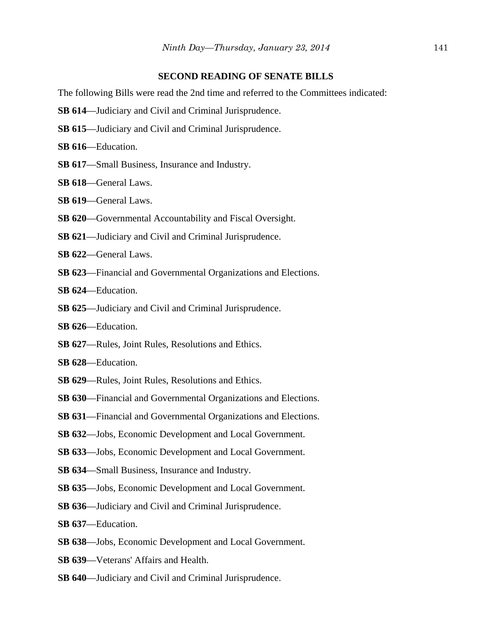#### **SECOND READING OF SENATE BILLS**

The following Bills were read the 2nd time and referred to the Committees indicated:

- **SB 614**––Judiciary and Civil and Criminal Jurisprudence.
- **SB 615**––Judiciary and Civil and Criminal Jurisprudence.
- **SB 616**––Education.
- **SB 617**––Small Business, Insurance and Industry.
- **SB 618**––General Laws.
- **SB 619**––General Laws.
- **SB 620**—Governmental Accountability and Fiscal Oversight.
- **SB 621**––Judiciary and Civil and Criminal Jurisprudence.
- SB 622-General Laws.
- **SB 623**––Financial and Governmental Organizations and Elections.
- **SB 624**––Education.
- **SB 625**––Judiciary and Civil and Criminal Jurisprudence.
- **SB 626**––Education.
- **SB 627**––Rules, Joint Rules, Resolutions and Ethics.
- **SB 628**––Education.
- **SB 629**––Rules, Joint Rules, Resolutions and Ethics.
- **SB 630**––Financial and Governmental Organizations and Elections.
- **SB 631**––Financial and Governmental Organizations and Elections.
- **SB 632**––Jobs, Economic Development and Local Government.
- **SB 633**––Jobs, Economic Development and Local Government.
- **SB 634**––Small Business, Insurance and Industry.
- **SB 635**––Jobs, Economic Development and Local Government.
- **SB 636**—Judiciary and Civil and Criminal Jurisprudence.
- **SB 637**––Education.
- **SB 638**––Jobs, Economic Development and Local Government.
- **SB 639**––Veterans' Affairs and Health.
- **SB 640**––Judiciary and Civil and Criminal Jurisprudence.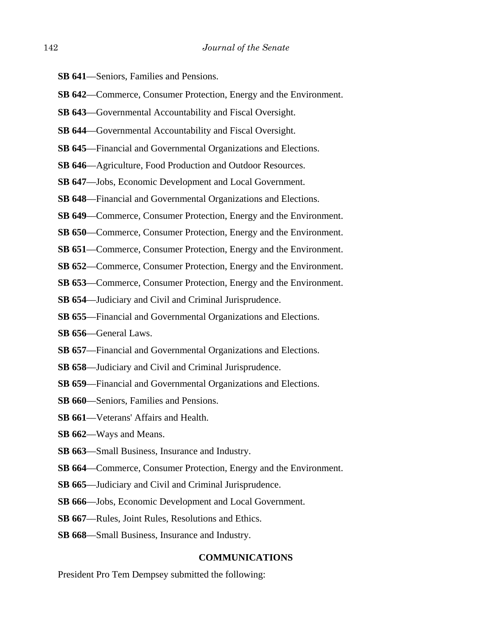- **SB 641**––Seniors, Families and Pensions.
- **SB 642—Commerce, Consumer Protection, Energy and the Environment.**
- **SB 643**––Governmental Accountability and Fiscal Oversight.
- **SB 644**—Governmental Accountability and Fiscal Oversight.
- **SB 645**––Financial and Governmental Organizations and Elections.
- **SB 646**—Agriculture, Food Production and Outdoor Resources.
- **SB 647**—Jobs, Economic Development and Local Government.
- **SB 648**––Financial and Governmental Organizations and Elections.
- **SB 649—Commerce, Consumer Protection, Energy and the Environment.**
- **SB 650—Commerce, Consumer Protection, Energy and the Environment.**
- **SB 651—Commerce, Consumer Protection, Energy and the Environment.**
- **SB 652**––Commerce, Consumer Protection, Energy and the Environment.
- **SB 653**––Commerce, Consumer Protection, Energy and the Environment.
- **SB 654**––Judiciary and Civil and Criminal Jurisprudence.
- **SB 655**––Financial and Governmental Organizations and Elections.
- **SB 656**––General Laws.
- **SB 657**––Financial and Governmental Organizations and Elections.
- **SB 658**––Judiciary and Civil and Criminal Jurisprudence.
- **SB 659**––Financial and Governmental Organizations and Elections.
- **SB 660**––Seniors, Families and Pensions.
- **SB 661**––Veterans' Affairs and Health.
- **SB 662**––Ways and Means.
- **SB 663**––Small Business, Insurance and Industry.
- **SB 664—Commerce, Consumer Protection, Energy and the Environment.**
- **SB 665**—Judiciary and Civil and Criminal Jurisprudence.
- **SB 666**––Jobs, Economic Development and Local Government.
- **SB 667**––Rules, Joint Rules, Resolutions and Ethics.
- **SB 668**––Small Business, Insurance and Industry.

#### **COMMUNICATIONS**

President Pro Tem Dempsey submitted the following: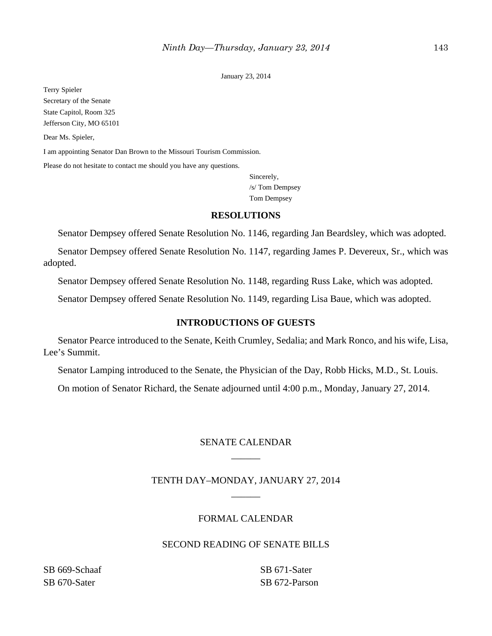January 23, 2014

Terry Spieler Secretary of the Senate State Capitol, Room 325 Jefferson City, MO 65101

Dear Ms. Spieler,

I am appointing Senator Dan Brown to the Missouri Tourism Commission.

Please do not hesitate to contact me should you have any questions.

Sincerely, /s/ Tom Dempsey Tom Dempsey

#### **RESOLUTIONS**

Senator Dempsey offered Senate Resolution No. 1146, regarding Jan Beardsley, which was adopted.

Senator Dempsey offered Senate Resolution No. 1147, regarding James P. Devereux, Sr., which was adopted.

Senator Dempsey offered Senate Resolution No. 1148, regarding Russ Lake, which was adopted.

Senator Dempsey offered Senate Resolution No. 1149, regarding Lisa Baue, which was adopted.

#### **INTRODUCTIONS OF GUESTS**

Senator Pearce introduced to the Senate, Keith Crumley, Sedalia; and Mark Ronco, and his wife, Lisa, Lee's Summit.

Senator Lamping introduced to the Senate, the Physician of the Day, Robb Hicks, M.D., St. Louis.

On motion of Senator Richard, the Senate adjourned until 4:00 p.m., Monday, January 27, 2014.

# SENATE CALENDAR \_\_\_\_\_\_

# TENTH DAY–MONDAY, JANUARY 27, 2014 \_\_\_\_\_\_

#### FORMAL CALENDAR

## SECOND READING OF SENATE BILLS

SB 669-Schaaf SB 670-Sater

SB 671-Sater SB 672-Parson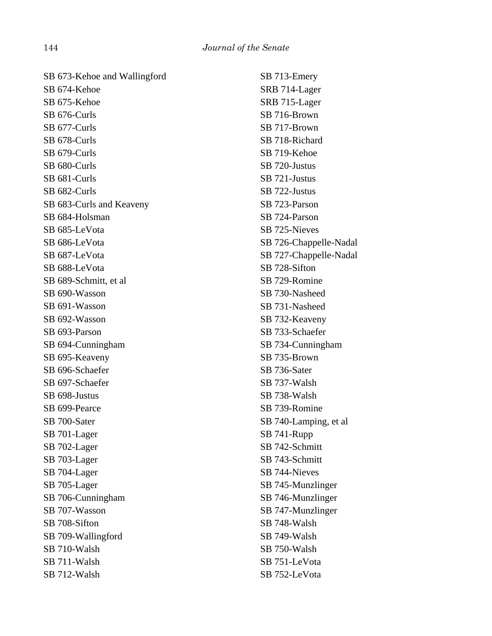| SB 673-Kehoe and Wallingford | SB 713-Emery           |
|------------------------------|------------------------|
| SB 674-Kehoe                 | SRB 714-Lager          |
| SB 675-Kehoe                 | SRB 715-Lager          |
| SB 676-Curls                 | SB 716-Brown           |
| SB 677-Curls                 | SB 717-Brown           |
| SB 678-Curls                 | SB 718-Richard         |
| SB 679-Curls                 | SB 719-Kehoe           |
| SB 680-Curls                 | SB 720-Justus          |
| SB 681-Curls                 | SB 721-Justus          |
| SB 682-Curls                 | SB 722-Justus          |
| SB 683-Curls and Keaveny     | SB 723-Parson          |
| SB 684-Holsman               | SB 724-Parson          |
| SB 685-LeVota                | SB 725-Nieves          |
| SB 686-LeVota                | SB 726-Chappelle-Nadal |
| SB 687-LeVota                | SB 727-Chappelle-Nadal |
| SB 688-LeVota                | SB 728-Sifton          |
| SB 689-Schmitt, et al.       | SB 729-Romine          |
| SB 690-Wasson                | SB 730-Nasheed         |
| SB 691-Wasson                | SB 731-Nasheed         |
| SB 692-Wasson                | SB 732-Keaveny         |
| SB 693-Parson                | SB 733-Schaefer        |
| SB 694-Cunningham            | SB 734-Cunningham      |
| SB 695-Keaveny               | SB 735-Brown           |
| SB 696-Schaefer              | SB 736-Sater           |
| SB 697-Schaefer              | SB 737-Walsh           |
| SB 698-Justus                | SB 738-Walsh           |
| SB 699-Pearce                | SB 739-Romine          |
| SB 700-Sater                 | SB 740-Lamping, et al  |
| SB 701-Lager                 | SB 741-Rupp            |
| SB 702-Lager                 | SB 742-Schmitt         |
| SB 703-Lager                 | SB 743-Schmitt         |
| SB 704-Lager                 | SB 744-Nieves          |
| SB 705-Lager                 | SB 745-Munzlinger      |
| SB 706-Cunningham            | SB 746-Munzlinger      |
| SB 707-Wasson                | SB 747-Munzlinger      |
| SB 708-Sifton                | SB 748-Walsh           |
| SB 709-Wallingford           | SB 749-Walsh           |
| SB 710-Walsh                 | SB 750-Walsh           |
| SB 711-Walsh                 | SB 751-LeVota          |
| SB 712-Walsh                 | SB 752-LeVota          |
|                              |                        |